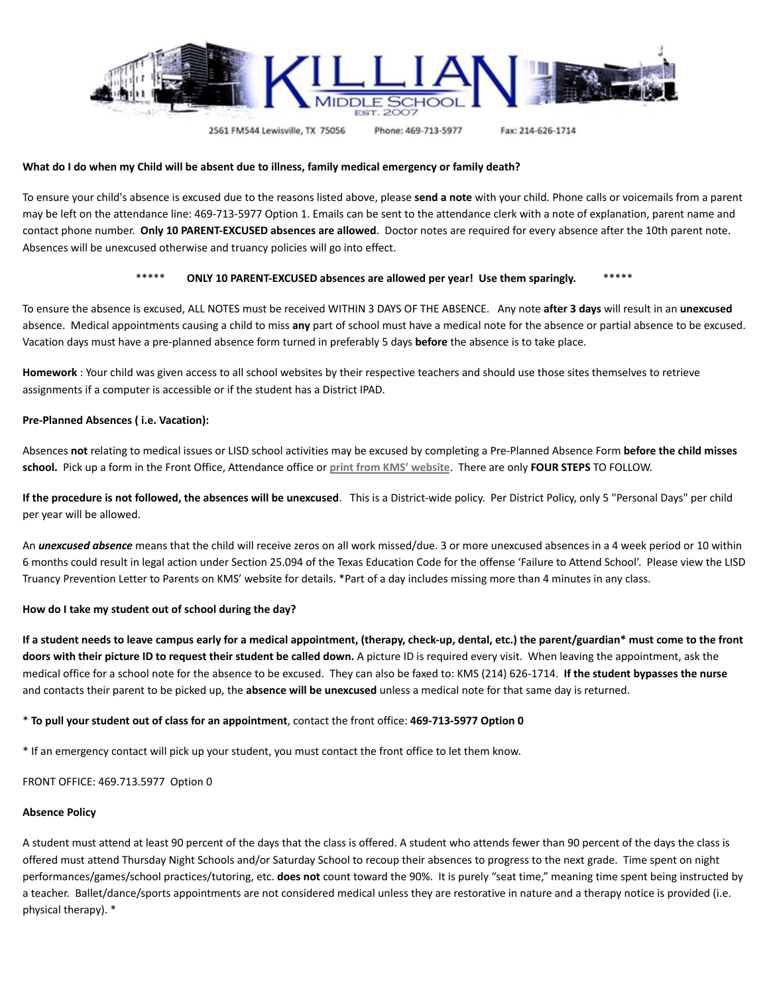

2561 FM544 Lewisville, TX 75056

Phone: 469-713-5977

Fax: 214-626-1714

## What do I do when my Child will be absent due to illness, family medical emergency or family death?

To ensure your child's absence is excused due to the reasons listed above, please **send a note** with your child. Phone calls or voicemails from a parent may be left on the attendance line: 469-713-5977 Option 1. Emails can be sent to the attendance clerk with a note of explanation, parent name and contact phone number. **Only 10 PARENT-EXCUSED absences are allowed**. Doctor notes are required for every absence after the 10th parent note. Absences will be unexcused otherwise and truancy policies will go into effect.

# \*\*\*\*\* **ONLY 10 PARENT-EXCUSED absences are allowed per year! Use them sparingly.** \*\*\*\*\*

To ensure the absence is excused, ALL NOTES must be received WITHIN 3 DAYS OF THE ABSENCE. Any note **after 3 days** will result in an **unexcused** absence. Medical appointments causing a child to miss **any** part of school must have a medical note for the absence or partial absence to be excused. Vacation days must have a pre-planned absence form turned in preferably 5 days **before** the absence is to take place.

**Homework** : Your child was given access to all school websites by their respective teachers and should use those sites themselves to retrieve assignments if a computer is accessible or if the student has a District IPAD.

### **Pre-Planned Absences ( i.e. Vacation):**

Absences **not** relating to medical issues or LISD school activities may be excused by completing a Pre-Planned Absence Form **before the child misses school.** Pick up a form in the Front Office, Attendance office or **print from KMS' [website](https://www.lisd.net/cms/lib/TX01918037/Centricity/Domain/7083/KMS%20Preplanned%20Absence%20Request.pdf)**. There are only **FOUR STEPS** TO FOLLOW.

If the procedure is not followed, the absences will be unexcused. This is a District-wide policy. Per District Policy, only 5 "Personal Days" per child per year will be allowed.

An *unexcused absence* means that the child will receive zeros on all work missed/due. 3 or more unexcused absences in a 4 week period or 10 within 6 months could result in legal action under Section 25.094 of the Texas Education Code for the offense 'Failure to Attend School'. Please view the LISD Truancy Prevention Letter to Parents on KMS' website for details. \*Part of a day includes missing more than 4 minutes in any class.

#### **How do I take my student out of school during the day?**

If a student needs to leave campus early for a medical appointment, (therapy, check-up, dental, etc.) the parent/guardian\* must come to the front doors with their picture ID to request their student be called down. A picture ID is required every visit. When leaving the appointment, ask the medical office for a school note for the absence to be excused. They can also be faxed to: KMS (214) 626-1714. **If the student bypasses the nurse** and contacts their parent to be picked up, the **absence will be unexcused** unless a medical note for that same day is returned.

# \* **To pull your student out of class for an appointment**, contact the front office: **469-713-5977 Option 0**

\* If an emergency contact will pick up your student, you must contact the front office to let them know.

FRONT OFFICE: 469.713.5977 Option 0

#### **Absence Policy**

A student must attend at least 90 percent of the days that the class is offered. A student who attends fewer than 90 percent of the days the class is offered must attend Thursday Night Schools and/or Saturday School to recoup their absences to progress to the next grade. Time spent on night performances/games/school practices/tutoring, etc. **does not** count toward the 90%. It is purely "seat time," meaning time spent being instructed by a teacher. Ballet/dance/sports appointments are not considered medical unless they are restorative in nature and a therapy notice is provided (i.e. physical therapy). \*